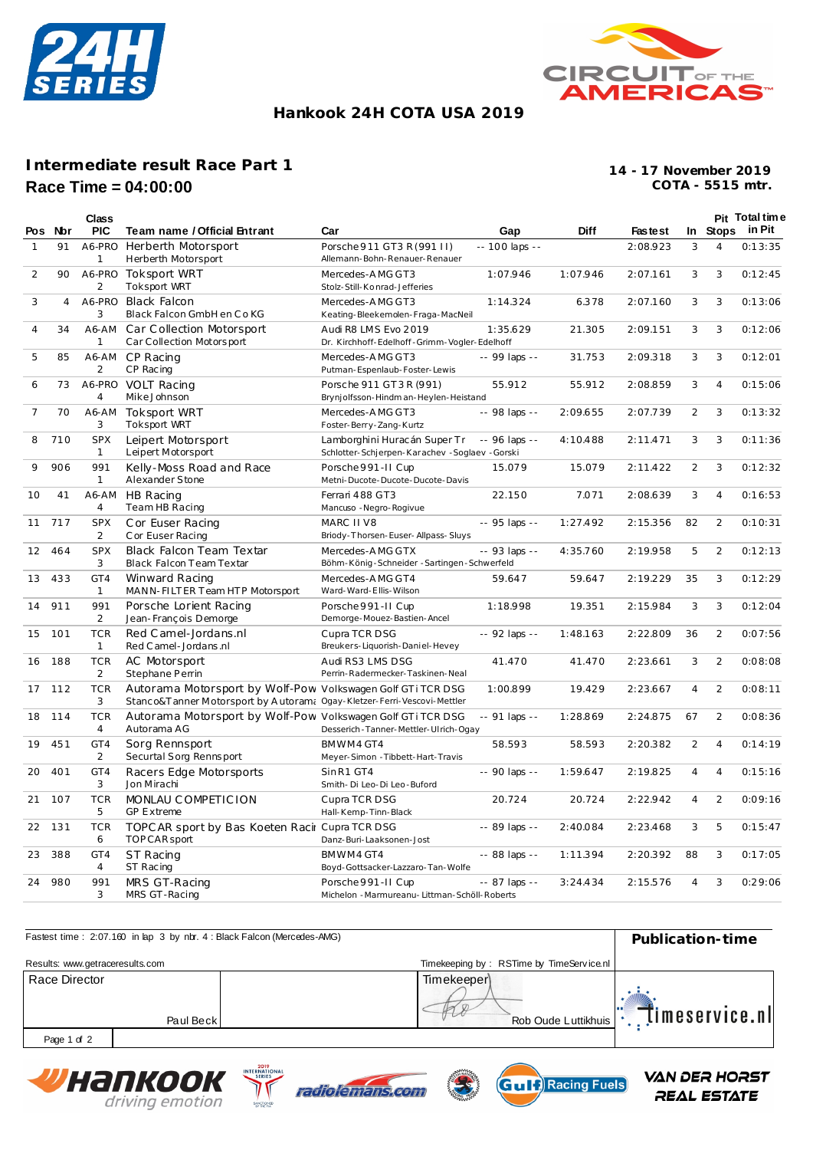



## **Hankook 24H COTA USA 2019**

## **Intermediate result Race Part 1 Race Time = 04:00:00**

**COTA - 5515 mtr. 14 - 17 November 2019**

|                |                | <b>Class</b>                 |                                                                                                                                        |                                                                               |                |             |                |                |                | Pit Total time  |
|----------------|----------------|------------------------------|----------------------------------------------------------------------------------------------------------------------------------------|-------------------------------------------------------------------------------|----------------|-------------|----------------|----------------|----------------|-----------------|
| Pos            | Nbr            | <b>PIC</b>                   | Team name / Official Entrant                                                                                                           | Car                                                                           | Gap            | <b>Diff</b> | <b>Fastest</b> |                |                | In Stops in Pit |
| 1              | 91             | A6-PRO<br>1                  | Herberth Motorsport<br>Herberth Motorsport                                                                                             | Porsche 911 GT3 R (991 II)<br>Allemann-Bohn-Renauer-Renauer                   | -- 100 laps -- |             | 2:08.923       | 3              | $\overline{4}$ | 0:13:35         |
| 2              | 90             | A6-PRO<br>$\overline{2}$     | <b>Toksport WRT</b><br><b>Toksport WRT</b>                                                                                             | Mercedes-AMG GT3<br>Stolz-Still-Konrad-Jefferies                              | 1:07.946       | 1:07.946    | 2:07.161       | 3              | 3              | 0:12:45         |
| 3              | $\overline{4}$ | A6-PRO<br>3                  | <b>Black Falcon</b><br>Black Falcon GmbH en Co KG                                                                                      | Mercedes-AMG GT3<br>Keating-Bleekemolen-Fraga-MacNeil                         | 1:14.324       | 6.378       | 2:07.160       | 3              | 3              | 0:13:06         |
| $\overline{4}$ | 34             | A6-AM<br>1                   | Car Collection Motorsport<br>Car Collection Motorsport                                                                                 | Audi R8 LMS Evo 2019<br>Dr. Kirchhoff-Edelhoff-Grimm-Vogler-Edelhoff          | 1:35.629       | 21.305      | 2:09.151       | 3              | 3              | 0:12:06         |
| 5              | 85             | A6-AM<br>$\overline{2}$      | CP Racing<br>CP Racing                                                                                                                 | Mercedes-AMG GT3<br>Putman-Espenlaub-Foster-Lewis                             | -- 99 laps --  | 31.753      | 2:09.318       | 3              | 3              | 0:12:01         |
| 6              | 73             | 4                            | A6-PRO VOLT Racing<br>Mike Johnson                                                                                                     | Porsche 911 GT3R (991)<br>Brynjolfsson-Hindman-Heylen-Heistand                | 55.912         | 55.912      | 2:08.859       | 3              | $\overline{4}$ | 0:15:06         |
| 7              | 70             | A6-AM<br>3                   | Toksport WRT<br><b>Toksport WRT</b>                                                                                                    | Mercedes-AMG GT3<br>Foster-Berry-Zang-Kurtz                                   | -- 98 laps --  | 2:09.655    | 2:07.739       | $\overline{2}$ | 3              | 0:13:32         |
| 8              | 710            | <b>SPX</b><br>$\mathbf{1}$   | Leipert Motorsport<br>Leipert Motorsport                                                                                               | Lamborghini Huracán Super Tr<br>Schlotter-Schjerpen-Karachev -Soglaev -Gorski | $-96$ laps $-$ | 4:10.488    | 2:11.471       | 3              | 3              | 0:11:36         |
| 9              | 906            | 991<br>$\mathbf{1}$          | Kelly-Moss Road and Race<br>Alexander Stone                                                                                            | Porsche 991-II Cup<br>Metni-Ducote-Ducote-Ducote-Davis                        | 15.079         | 15.079      | 2:11.422       | 2              | 3              | 0:12:32         |
| 10             | 41             | A6-AM<br>$\overline{4}$      | HB Racing<br>Team HB Racing                                                                                                            | Ferrari 488 GT3<br>Mancuso - Negro-Rogivue                                    | 22.150         | 7.071       | 2:08.639       | 3              | $\overline{4}$ | 0:16:53         |
| 11             | 717            | <b>SPX</b><br>2              | Cor Euser Racing<br>C or Euser Racing                                                                                                  | MARC II V8<br>Briody-Thorsen-Euser-Allpass-Sluys                              | -- 95 laps --  | 1:27.492    | 2:15.356       | 82             | 2              | 0:10:31         |
| 12             | 464            | <b>SPX</b><br>3              | Black Falcon Team Textar<br>Black Falcon Team Textar                                                                                   | Mercedes-AMG GTX<br>Böhm-König-Schneider-Sartingen-Schwerfeld                 | $-93$ laps $-$ | 4:35.760    | 2:19.958       | 5              | 2              | 0:12:13         |
| 13             | 433            | GT4<br>$\mathbf{1}$          | Winward Racing<br>MANN-FILTER Team HTP Motorsport                                                                                      | Mercedes-AMG GT4<br>Ward-Ward-Ellis-Wilson                                    | 59.647         | 59.647      | 2:19.229       | 35             | 3              | 0:12:29         |
| 14             | 911            | 991<br>2                     | Porsche Lorient Racing<br>Jean-François Demorge                                                                                        | Porsche 991-II Cup<br>Demorge-Mouez-Bastien-Ancel                             | 1:18.998       | 19.351      | 2:15.984       | 3              | 3              | 0:12:04         |
| 15             | 101            | <b>TCR</b><br>$\mathbf{1}$   | Red Camel-Jordans.nl<br>Red C amel - Jordans .nl                                                                                       | Cupra TCR DSG<br>Breukers-Liquorish-Daniel-Hevey                              | -- 92 laps --  | 1:48.163    | 2:22.809       | 36             | 2              | 0:07:56         |
| 16             | 188            | <b>TCR</b><br>$\overline{2}$ | AC Motorsport<br>Stephane Perrin                                                                                                       | Audi RS3 LMS DSG<br>Perrin-Radermecker-Taskinen-Neal                          | 41.470         | 41.470      | 2:23.661       | 3              | 2              | 0:08:08         |
| 17             | 112            | <b>TCR</b><br>3              | Autorama Motorsport by Wolf-Pow Volkswagen Golf GTi TCR DSG<br>Stanco&Tanner Motorsport by Autoram: Ogay-Kletzer-Ferri-Vescovi-Mettler |                                                                               | 1:00.899       | 19.429      | 2:23.667       | $\overline{4}$ | 2              | 0:08:11         |
| 18             | 114            | <b>TCR</b><br>$\overline{4}$ | Autorama Motorsport by Wolf-Pow Volkswagen Golf GTiTCR DSG<br>Autorama AG                                                              | Desserich-Tanner-Mettler-Ulrich-Ogay                                          | $-91$ laps $-$ | 1:28.869    | 2:24.875       | 67             | 2              | 0:08:36         |
| 19             | 451            | GT4<br>$\overline{2}$        | Sorg Rennsport<br>Securtal Sorg Rennsport                                                                                              | BMWM4GT4<br>Meyer-Simon - Tibbett-Hart-Travis                                 | 58.593         | 58.593      | 2:20.382       | 2              | 4              | 0:14:19         |
| 20             | 401            | GT4<br>3                     | Racers Edge Motorsports<br>Jon Mirachi                                                                                                 | SinR1 GT4<br>Smith-Di Leo-Di Leo-Buford                                       | $-90$ laps $-$ | 1:59.647    | 2:19.825       | $\overline{4}$ | $\overline{4}$ | 0:15:16         |
| 21             | 107            | <b>TCR</b><br>5              | MONLAU COMPETICION<br><b>GP Extreme</b>                                                                                                | Cupra TCR DSG<br>Hall-Kemp-Tinn-Black                                         | 20.724         | 20.724      | 2:22.942       | 4              | 2              | 0:09:16         |
| 22             | 131            | <b>TCR</b><br>6              | TOPC AR sport by Bas Koeten Racir Cupra TCR DSG<br>TOP CAR sport                                                                       | Danz-Buri-Laaksonen-Jost                                                      | $-89$ laps $-$ | 2:40.084    | 2:23.468       | 3              | 5              | 0:15:47         |
| 23             | 388            | GT4<br>$\overline{4}$        | ST Racing<br>ST Racing                                                                                                                 | BMWM4 GT4<br>Boyd-Gottsacker-Lazzaro-Tan-Wolfe                                | $-88$ laps $-$ | 1:11.394    | 2:20.392       | 88             | 3              | 0:17:05         |
| 24             | 980            | 991<br>3                     | MRS GT-Racing<br>MRS GT-Racing                                                                                                         | Porsche 991-II Cup<br>Michelon - Marmureanu- Littman-Schöll-Roberts           | -- 87 laps --  | 3:24.434    | 2:15.576       | $\overline{4}$ | 3              | 0:29:06         |

| Fastest time: 2:07.160 in lap 3 by nbr. 4: Black Falcon (Mercedes-AMG) |                                          | Publication-time |
|------------------------------------------------------------------------|------------------------------------------|------------------|
| Results: www.getraceresults.com                                        | Timekeeping by: RSTime by TimeService.nl |                  |
| Race Director<br>Paul Beck                                             | Timekeeper<br>Rob Oude Luttikhuis        | timeservice.nl   |
| Page 1 of 2                                                            |                                          |                  |